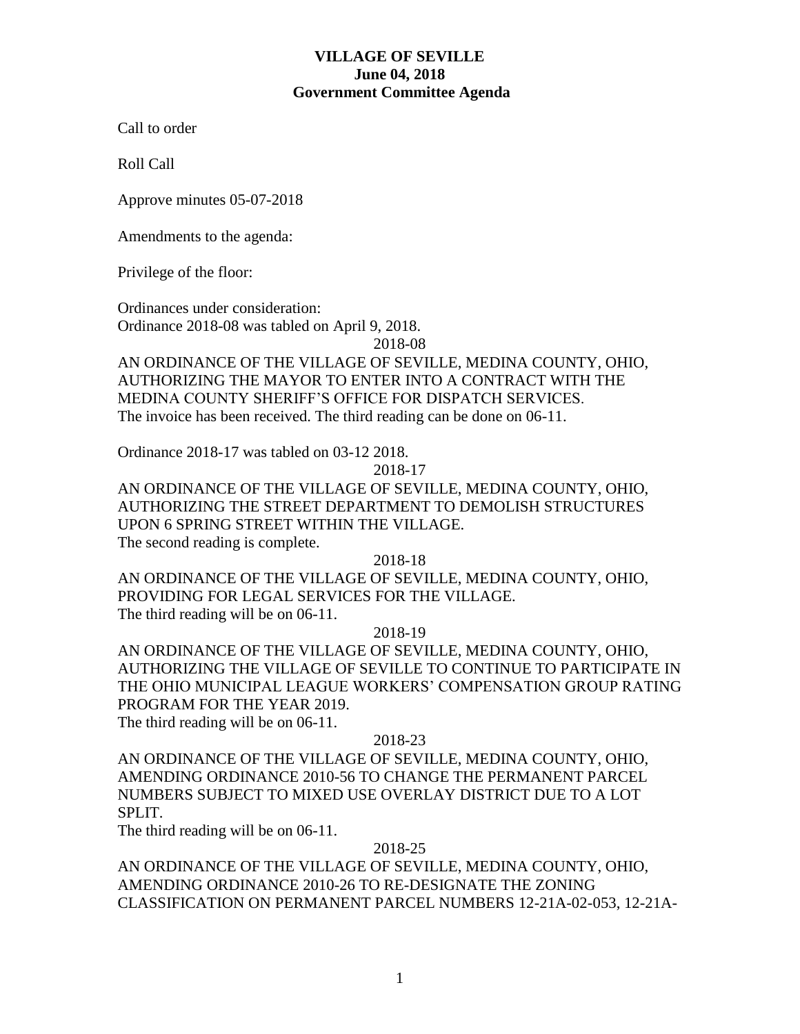# **VILLAGE OF SEVILLE June 04, 2018 Government Committee Agenda**

Call to order

Roll Call

Approve minutes 05-07-2018

Amendments to the agenda:

Privilege of the floor:

Ordinances under consideration: Ordinance 2018-08 was tabled on April 9, 2018.

2018-08

AN ORDINANCE OF THE VILLAGE OF SEVILLE, MEDINA COUNTY, OHIO, AUTHORIZING THE MAYOR TO ENTER INTO A CONTRACT WITH THE MEDINA COUNTY SHERIFF'S OFFICE FOR DISPATCH SERVICES. The invoice has been received. The third reading can be done on 06-11.

Ordinance 2018-17 was tabled on 03-12 2018.

2018-17

AN ORDINANCE OF THE VILLAGE OF SEVILLE, MEDINA COUNTY, OHIO, AUTHORIZING THE STREET DEPARTMENT TO DEMOLISH STRUCTURES UPON 6 SPRING STREET WITHIN THE VILLAGE. The second reading is complete.

2018-18

AN ORDINANCE OF THE VILLAGE OF SEVILLE, MEDINA COUNTY, OHIO, PROVIDING FOR LEGAL SERVICES FOR THE VILLAGE. The third reading will be on 06-11.

2018-19

AN ORDINANCE OF THE VILLAGE OF SEVILLE, MEDINA COUNTY, OHIO, AUTHORIZING THE VILLAGE OF SEVILLE TO CONTINUE TO PARTICIPATE IN THE OHIO MUNICIPAL LEAGUE WORKERS' COMPENSATION GROUP RATING PROGRAM FOR THE YEAR 2019.

The third reading will be on 06-11.

## 2018-23

AN ORDINANCE OF THE VILLAGE OF SEVILLE, MEDINA COUNTY, OHIO, AMENDING ORDINANCE 2010-56 TO CHANGE THE PERMANENT PARCEL NUMBERS SUBJECT TO MIXED USE OVERLAY DISTRICT DUE TO A LOT SPLIT.

The third reading will be on 06-11.

### 2018-25

AN ORDINANCE OF THE VILLAGE OF SEVILLE, MEDINA COUNTY, OHIO, AMENDING ORDINANCE 2010-26 TO RE-DESIGNATE THE ZONING CLASSIFICATION ON PERMANENT PARCEL NUMBERS 12-21A-02-053, 12-21A-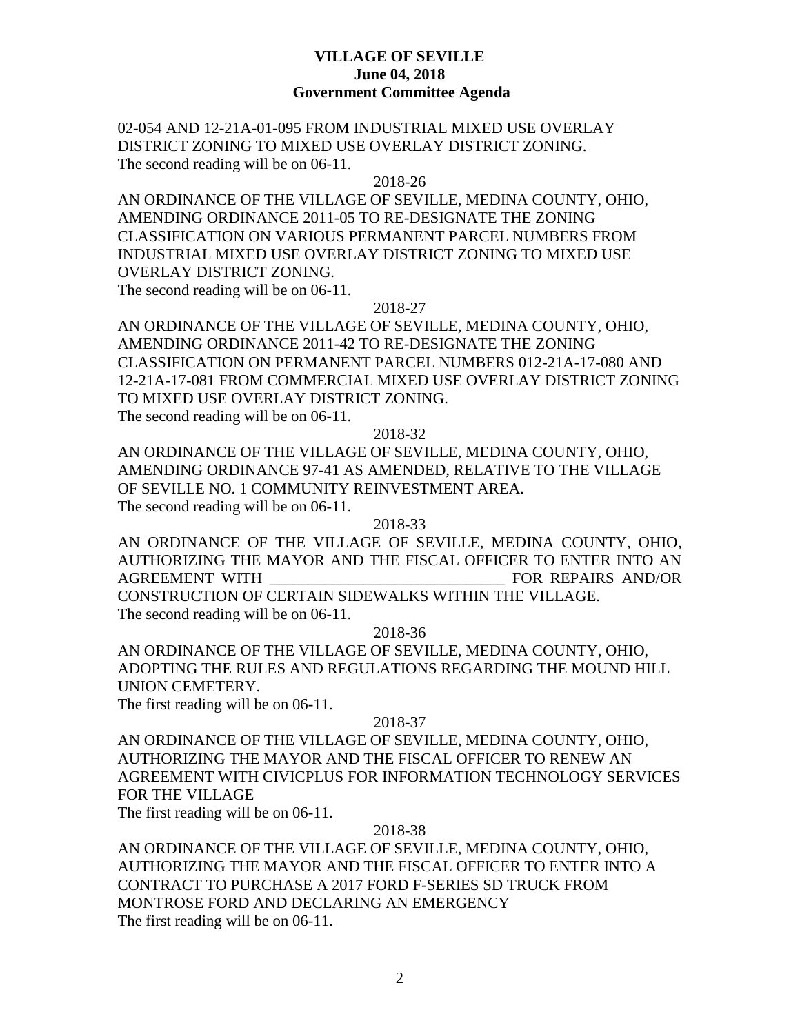## **VILLAGE OF SEVILLE June 04, 2018 Government Committee Agenda**

02-054 AND 12-21A-01-095 FROM INDUSTRIAL MIXED USE OVERLAY DISTRICT ZONING TO MIXED USE OVERLAY DISTRICT ZONING. The second reading will be on 06-11.

### 2018-26

AN ORDINANCE OF THE VILLAGE OF SEVILLE, MEDINA COUNTY, OHIO, AMENDING ORDINANCE 2011-05 TO RE-DESIGNATE THE ZONING CLASSIFICATION ON VARIOUS PERMANENT PARCEL NUMBERS FROM INDUSTRIAL MIXED USE OVERLAY DISTRICT ZONING TO MIXED USE OVERLAY DISTRICT ZONING.

The second reading will be on 06-11.

# 2018-27

AN ORDINANCE OF THE VILLAGE OF SEVILLE, MEDINA COUNTY, OHIO, AMENDING ORDINANCE 2011-42 TO RE-DESIGNATE THE ZONING CLASSIFICATION ON PERMANENT PARCEL NUMBERS 012-21A-17-080 AND 12-21A-17-081 FROM COMMERCIAL MIXED USE OVERLAY DISTRICT ZONING TO MIXED USE OVERLAY DISTRICT ZONING. The second reading will be on 06-11.

### 2018-32

AN ORDINANCE OF THE VILLAGE OF SEVILLE, MEDINA COUNTY, OHIO, AMENDING ORDINANCE 97-41 AS AMENDED, RELATIVE TO THE VILLAGE OF SEVILLE NO. 1 COMMUNITY REINVESTMENT AREA. The second reading will be on 06-11.

### 2018-33

AN ORDINANCE OF THE VILLAGE OF SEVILLE, MEDINA COUNTY, OHIO, AUTHORIZING THE MAYOR AND THE FISCAL OFFICER TO ENTER INTO AN AGREEMENT WITH **EXECUTE:** FOR REPAIRS AND/OR CONSTRUCTION OF CERTAIN SIDEWALKS WITHIN THE VILLAGE. The second reading will be on 06-11.

2018-36

AN ORDINANCE OF THE VILLAGE OF SEVILLE, MEDINA COUNTY, OHIO, ADOPTING THE RULES AND REGULATIONS REGARDING THE MOUND HILL UNION CEMETERY.

The first reading will be on 06-11.

### 2018-37

AN ORDINANCE OF THE VILLAGE OF SEVILLE, MEDINA COUNTY, OHIO, AUTHORIZING THE MAYOR AND THE FISCAL OFFICER TO RENEW AN AGREEMENT WITH CIVICPLUS FOR INFORMATION TECHNOLOGY SERVICES FOR THE VILLAGE

The first reading will be on 06-11.

## 2018-38

AN ORDINANCE OF THE VILLAGE OF SEVILLE, MEDINA COUNTY, OHIO, AUTHORIZING THE MAYOR AND THE FISCAL OFFICER TO ENTER INTO A CONTRACT TO PURCHASE A 2017 FORD F-SERIES SD TRUCK FROM MONTROSE FORD AND DECLARING AN EMERGENCY The first reading will be on 06-11.